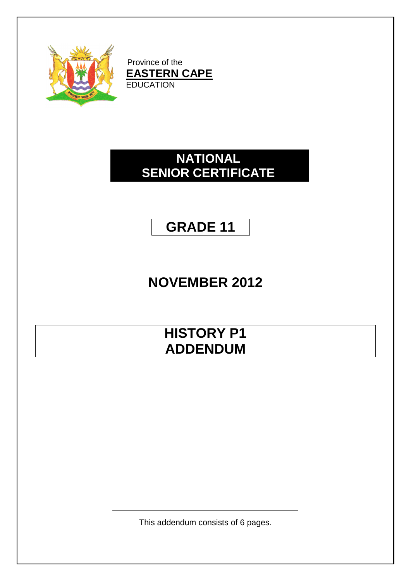

Province of the **EASTERN CAPE** EDUCATION

### **NATIONAL SENIOR CERTIFICATE**

# **GRADE 11**

# **NOVEMBER 2012**

# **HISTORY P1 ADDENDUM**

This addendum consists of 6 pages.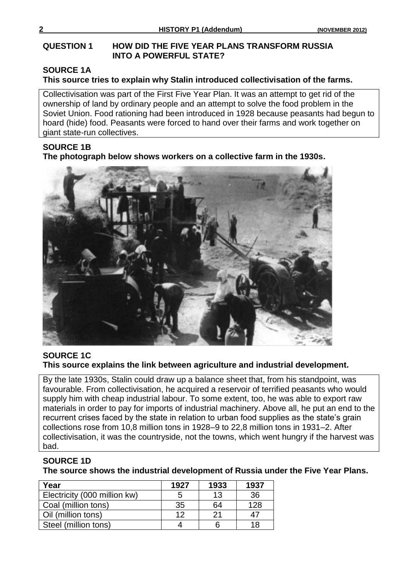#### **QUESTION 1 HOW DID THE FIVE YEAR PLANS TRANSFORM RUSSIA INTO A POWERFUL STATE?**

#### **SOURCE 1A This source tries to explain why Stalin introduced collectivisation of the farms.**

Collectivisation was part of the First Five Year Plan. It was an attempt to get rid of the ownership of land by ordinary people and an attempt to solve the food problem in the Soviet Union. Food rationing had been introduced in 1928 because peasants had begun to hoard (hide) food. Peasants were forced to hand over their farms and work together on giant state-run collectives.

#### **SOURCE 1B**

**The photograph below shows workers on a collective farm in the 1930s.**



#### **SOURCE 1C This source explains the link between agriculture and industrial development.**

By the late 1930s, Stalin could draw up a balance sheet that, from his standpoint, was favourable. From collectivisation, he acquired a reservoir of terrified peasants who would supply him with cheap industrial labour. To some extent, too, he was able to export raw materials in order to pay for imports of industrial machinery. Above all, he put an end to the recurrent crises faced by the state in relation to urban food supplies as the state"s grain collections rose from 10,8 million tons in 1928–9 to 22,8 million tons in 1931–2. After collectivisation, it was the countryside, not the towns, which went hungry if the harvest was bad.

### **SOURCE 1D**

**The source shows the industrial development of Russia under the Five Year Plans.**

| Year                         | 1927 | 1933 | 1937 |
|------------------------------|------|------|------|
| Electricity (000 million kw) |      | 13   | 36   |
| Coal (million tons)          | 35   | 64   | 128  |
| Oil (million tons)           | 12   | 21   | 47   |
| Steel (million tons)         |      |      | 18   |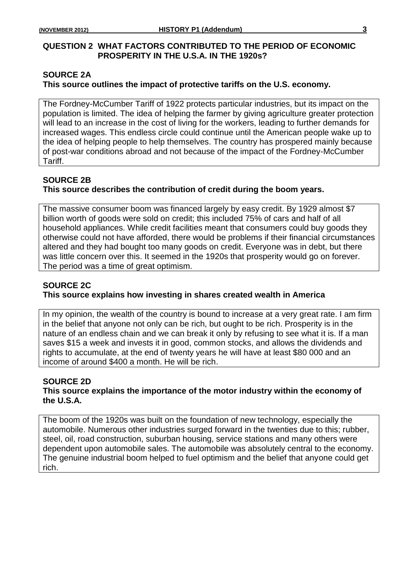#### **QUESTION 2 WHAT FACTORS CONTRIBUTED TO THE PERIOD OF ECONOMIC PROSPERITY IN THE U.S.A. IN THE 1920s?**

#### **SOURCE 2A**

#### **This source outlines the impact of protective tariffs on the U.S. economy.**

The Fordney-McCumber Tariff of 1922 protects particular industries, but its impact on the population is limited. The idea of helping the farmer by giving agriculture greater protection will lead to an increase in the cost of living for the workers, leading to further demands for increased wages. This endless circle could continue until the American people wake up to the idea of helping people to help themselves. The country has prospered mainly because of post-war conditions abroad and not because of the impact of the Fordney-McCumber Tariff.

#### **SOURCE 2B**

#### **This source describes the contribution of credit during the boom years.**

The massive consumer boom was financed largely by easy credit. By 1929 almost \$7 billion worth of goods were sold on credit; this included 75% of cars and half of all household appliances. While credit facilities meant that consumers could buy goods they otherwise could not have afforded, there would be problems if their financial circumstances altered and they had bought too many goods on credit. Everyone was in debt, but there was little concern over this. It seemed in the 1920s that prosperity would go on forever. The period was a time of great optimism.

#### **SOURCE 2C**

#### **This source explains how investing in shares created wealth in America**

In my opinion, the wealth of the country is bound to increase at a very great rate. I am firm in the belief that anyone not only can be rich, but ought to be rich. Prosperity is in the nature of an endless chain and we can break it only by refusing to see what it is. If a man saves \$15 a week and invests it in good, common stocks, and allows the dividends and rights to accumulate, at the end of twenty years he will have at least \$80 000 and an income of around \$400 a month. He will be rich.

#### **SOURCE 2D This source explains the importance of the motor industry within the economy of the U.S.A.**

The boom of the 1920s was built on the foundation of new technology, especially the automobile. Numerous other industries surged forward in the twenties due to this; rubber, steel, oil, road construction, suburban housing, service stations and many others were dependent upon automobile sales. The automobile was absolutely central to the economy. The genuine industrial boom helped to fuel optimism and the belief that anyone could get rich.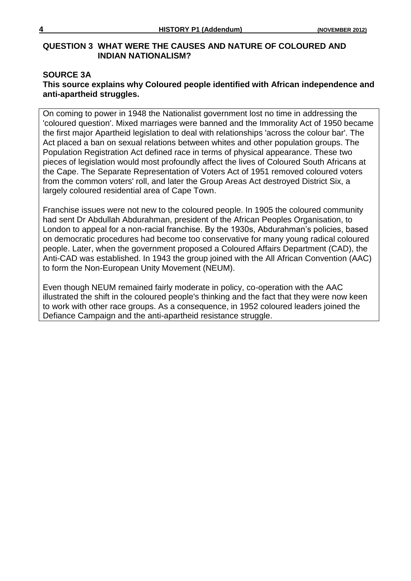#### **QUESTION 3 WHAT WERE THE CAUSES AND NATURE OF COLOURED AND INDIAN NATIONALISM?**

#### **SOURCE 3A**

#### **This source explains why Coloured people identified with African independence and anti-apartheid struggles.**

On coming to power in 1948 the Nationalist government lost no time in addressing the 'coloured question'. Mixed marriages were banned and the Immorality Act of 1950 became the first major Apartheid legislation to deal with relationships 'across the colour bar'. The Act placed a ban on sexual relations between whites and other population groups. The Population Registration Act defined race in terms of physical appearance. These two pieces of legislation would most profoundly affect the lives of Coloured South Africans at the Cape. The Separate Representation of Voters Act of 1951 removed coloured voters from the common voters' roll, and later the Group Areas Act destroyed District Six, a largely coloured residential area of Cape Town.

Franchise issues were not new to the coloured people. In 1905 the coloured community had sent Dr Abdullah Abdurahman, president of the African Peoples Organisation, to London to appeal for a non-racial franchise. By the 1930s, Abdurahman"s policies, based on democratic procedures had become too conservative for many young radical coloured people. Later, when the government proposed a Coloured Affairs Department (CAD), the Anti-CAD was established. In 1943 the group joined with the All African Convention (AAC) to form the Non-European Unity Movement (NEUM).

Even though NEUM remained fairly moderate in policy, co-operation with the AAC illustrated the shift in the coloured people's thinking and the fact that they were now keen to work with other race groups. As a consequence, in 1952 coloured leaders joined the Defiance Campaign and the anti-apartheid resistance struggle.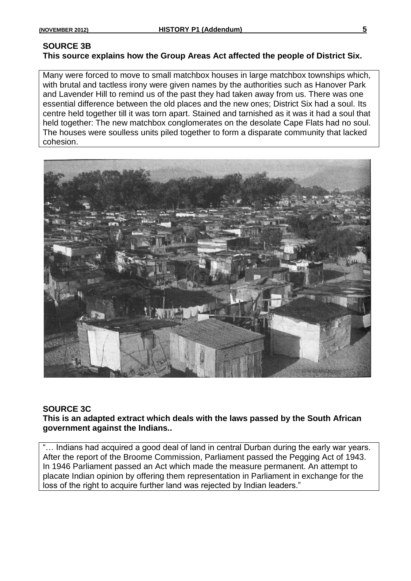#### **SOURCE 3B This source explains how the Group Areas Act affected the people of District Six.**

Many were forced to move to small matchbox houses in large matchbox townships which, with brutal and tactless irony were given names by the authorities such as Hanover Park and Lavender Hill to remind us of the past they had taken away from us. There was one essential difference between the old places and the new ones; District Six had a soul. Its centre held together till it was torn apart. Stained and tarnished as it was it had a soul that held together: The new matchbox conglomerates on the desolate Cape Flats had no soul. The houses were soulless units piled together to form a disparate community that lacked cohesion.



#### **SOURCE 3C**

**This is an adapted extract which deals with the laws passed by the South African government against the Indians..**

"… Indians had acquired a good deal of land in central Durban during the early war years. After the report of the Broome Commission, Parliament passed the Pegging Act of 1943. In 1946 Parliament passed an Act which made the measure permanent. An attempt to placate Indian opinion by offering them representation in Parliament in exchange for the loss of the right to acquire further land was rejected by Indian leaders."